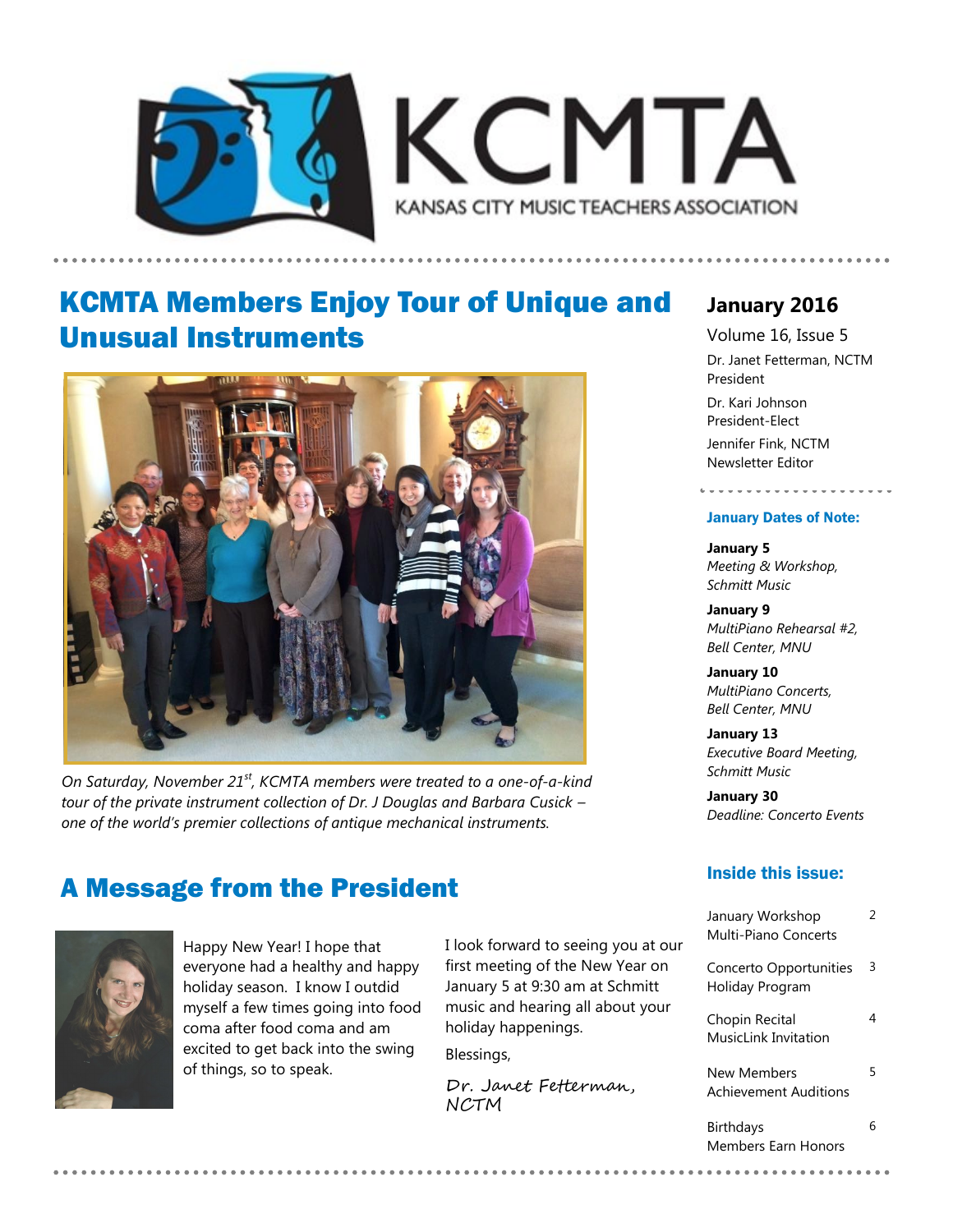



### KCMTA Members Enjoy Tour of Unique and Unusual Instruments



*On Saturday, November 21st, KCMTA members were treated to a one-of-a-kind tour of the private instrument collection of Dr. J Douglas and Barbara Cusick – one of the world's premier collections of antique mechanical instruments.* 

# A Message from the President Inside this issue:



Happy New Year! I hope that everyone had a healthy and happy holiday season. I know I outdid myself a few times going into food coma after food coma and am excited to get back into the swing of things, so to speak.

I look forward to seeing you at our first meeting of the New Year on January 5 at 9:30 am at Schmitt music and hearing all about your holiday happenings. Blessings,

Dr. Janet Fetterman, NCTM

### **January 2016**

Volume 16, Issue 5 Dr. Janet Fetterman, NCTM President

Dr. Kari Johnson President-Elect Jennifer Fink, NCTM Newsletter Editor

#### January Dates of Note:

------------------

**January 5** *Meeting & Workshop, Schmitt Music*

**January 9** *MultiPiano Rehearsal #2, Bell Center, MNU*

**January 10** *MultiPiano Concerts, Bell Center, MNU*

**January 13** *Executive Board Meeting, Schmitt Music* 

**January 30** *Deadline: Concerto Events*

| January Workshop<br>Multi-Piano Concerts    | 2 |
|---------------------------------------------|---|
| Concerto Opportunities<br>Holiday Program   | 3 |
| Chopin Recital<br>MusicLink Invitation      |   |
| New Members<br><b>Achievement Auditions</b> | 5 |
| Birthdays<br>Members Farn Honors            | հ |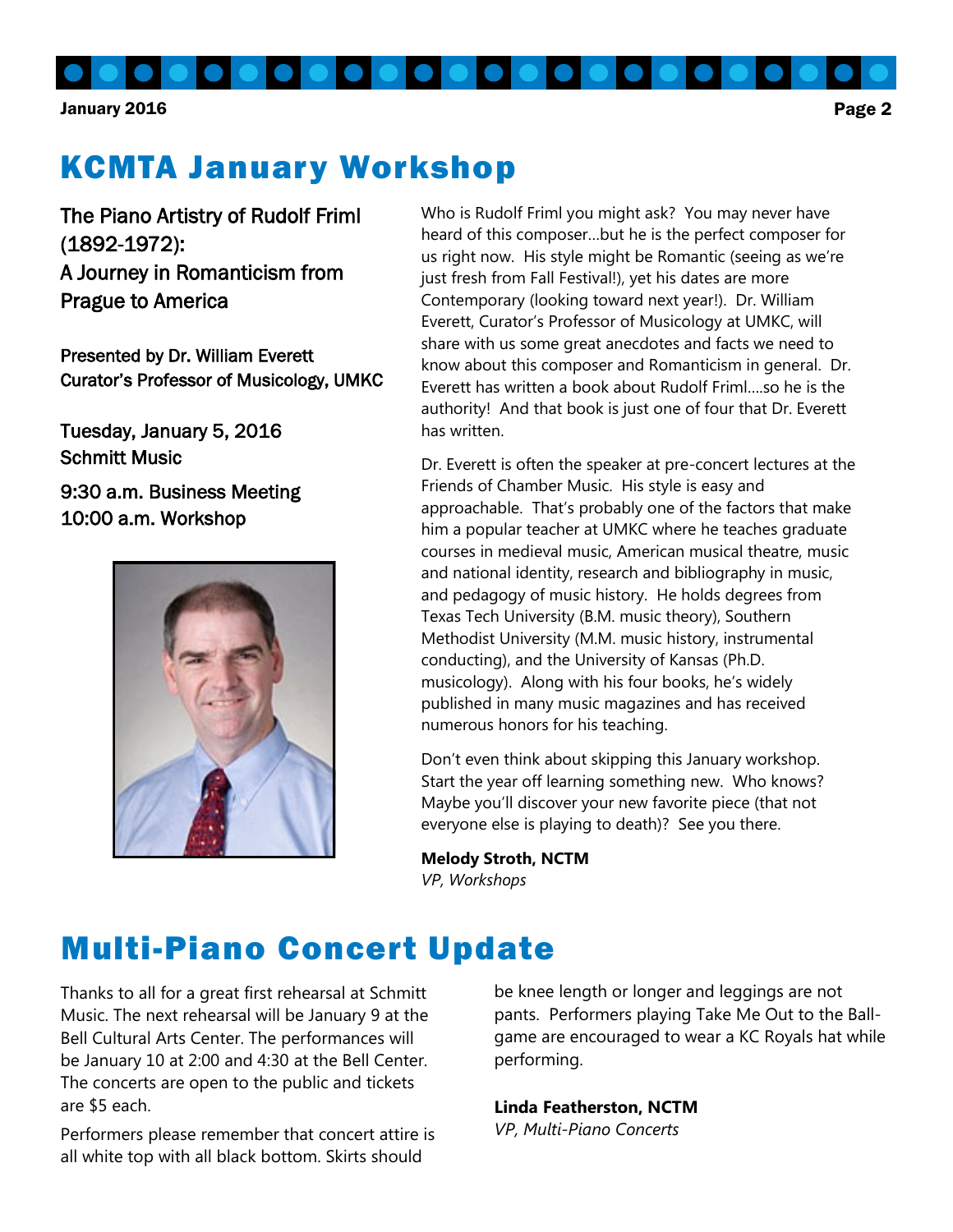# KCMTA January Workshop

The Piano Artistry of Rudolf Friml (1892-1972): A Journey in Romanticism from Prague to America

Presented by Dr. William Everett Curator's Professor of Musicology, UMKC

Tuesday, January 5, 2016 Schmitt Music

9:30 a.m. Business Meeting 10:00 a.m. Workshop



Who is Rudolf Friml you might ask? You may never have heard of this composer…but he is the perfect composer for us right now. His style might be Romantic (seeing as we're just fresh from Fall Festival!), yet his dates are more Contemporary (looking toward next year!). Dr. William Everett, Curator's Professor of Musicology at UMKC, will share with us some great anecdotes and facts we need to know about this composer and Romanticism in general. Dr. Everett has written a book about Rudolf Friml….so he is the authority! And that book is just one of four that Dr. Everett has written.

Dr. Everett is often the speaker at pre-concert lectures at the Friends of Chamber Music. His style is easy and approachable. That's probably one of the factors that make him a popular teacher at UMKC where he teaches graduate courses in medieval music, American musical theatre, music and national identity, research and bibliography in music, and pedagogy of music history. He holds degrees from Texas Tech University (B.M. music theory), Southern Methodist University (M.M. music history, instrumental conducting), and the University of Kansas (Ph.D. musicology). Along with his four books, he's widely published in many music magazines and has received numerous honors for his teaching.

Don't even think about skipping this January workshop. Start the year off learning something new. Who knows? Maybe you'll discover your new favorite piece (that not everyone else is playing to death)? See you there.

**Melody Stroth, NCTM** *VP, Workshops*

### Multi-Piano Concert Update

Thanks to all for a great first rehearsal at Schmitt Music. The next rehearsal will be January 9 at the Bell Cultural Arts Center. The performances will be January 10 at 2:00 and 4:30 at the Bell Center. The concerts are open to the public and tickets are \$5 each.

Performers please remember that concert attire is all white top with all black bottom. Skirts should

be knee length or longer and leggings are not pants. Performers playing Take Me Out to the Ballgame are encouraged to wear a KC Royals hat while performing.

**Linda Featherston, NCTM**

*VP, Multi-Piano Concerts*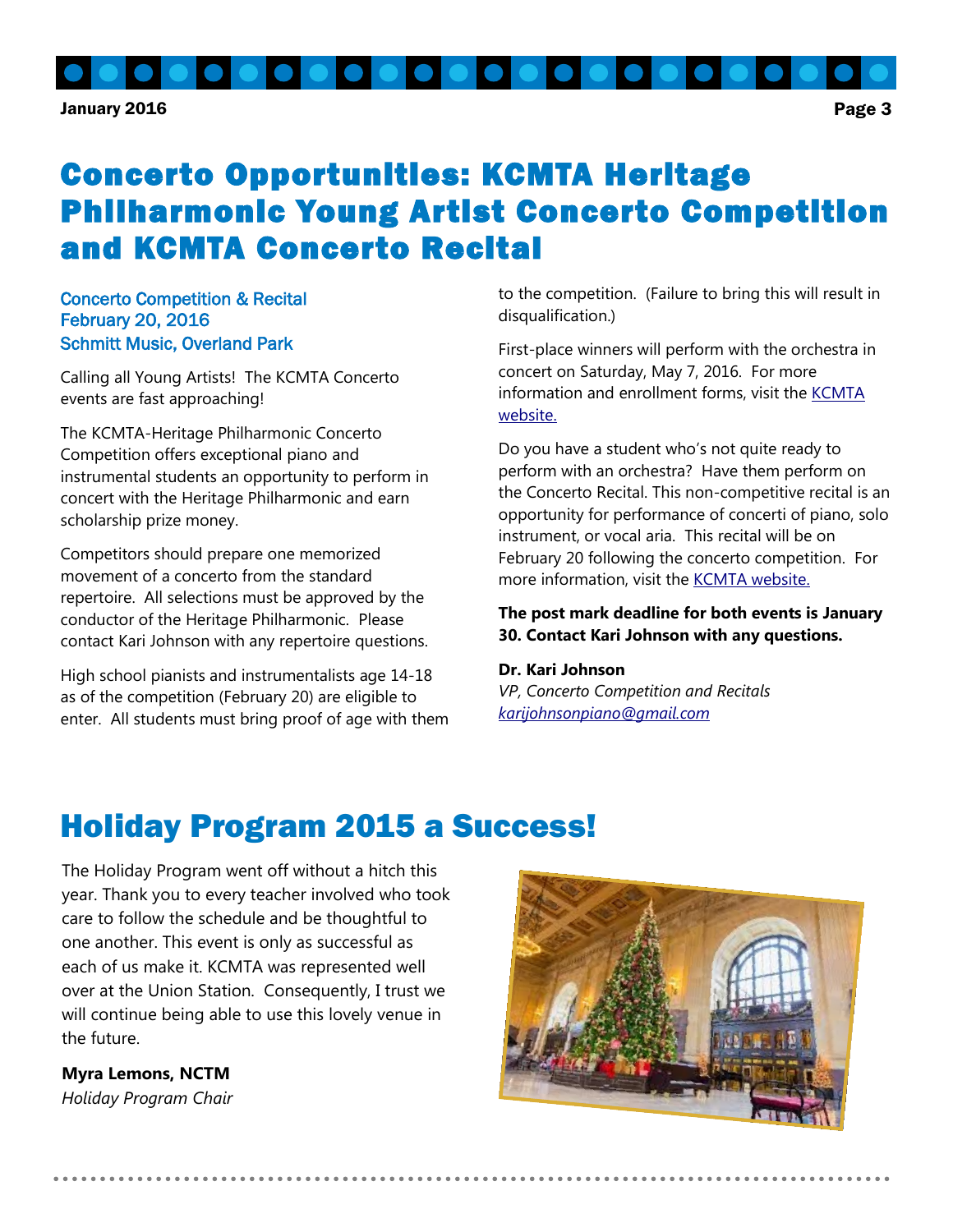

## Concerto Opportunities: KCMTA Heritage Philharmonic Young Artist Concerto Competition and KCMTA Concerto Recital

#### Concerto Competition & Recital February 20, 2016 Schmitt Music, Overland Park

Calling all Young Artists! The KCMTA Concerto events are fast approaching!

The KCMTA-Heritage Philharmonic Concerto Competition offers exceptional piano and instrumental students an opportunity to perform in concert with the Heritage Philharmonic and earn scholarship prize money.

Competitors should prepare one memorized movement of a concerto from the standard repertoire. All selections must be approved by the conductor of the Heritage Philharmonic. Please contact Kari Johnson with any repertoire questions.

High school pianists and instrumentalists age 14-18 as of the competition (February 20) are eligible to enter. All students must bring proof of age with them to the competition. (Failure to bring this will result in disqualification.)

First-place winners will perform with the orchestra in concert on Saturday, May 7, 2016. For more information and enrollment forms, visit the [KCMTA](http://kansascitymusicteachers.org/student-programs/concerto-competition/)  [website.](http://kansascitymusicteachers.org/student-programs/concerto-competition/)

Do you have a student who's not quite ready to perform with an orchestra? Have them perform on the Concerto Recital. This non-competitive recital is an opportunity for performance of concerti of piano, solo instrument, or vocal aria. This recital will be on February 20 following the concerto competition. For more information, visit the **KCMTA** website.

**The post mark deadline for both events is January 30. Contact Kari Johnson with any questions.**

#### **Dr. Kari Johnson**

*VP, Concerto Competition and Recitals [karijohnsonpiano@gmail.com](mailto:karijohnsonpiano@gmail.com)*

# Holiday Program 2015 a Success!

The Holiday Program went off without a hitch this year. Thank you to every teacher involved who took care to follow the schedule and be thoughtful to one another. This event is only as successful as each of us make it. KCMTA was represented well over at the Union Station. Consequently, I trust we will continue being able to use this lovely venue in the future.

**Myra Lemons, NCTM** *Holiday Program Chair*

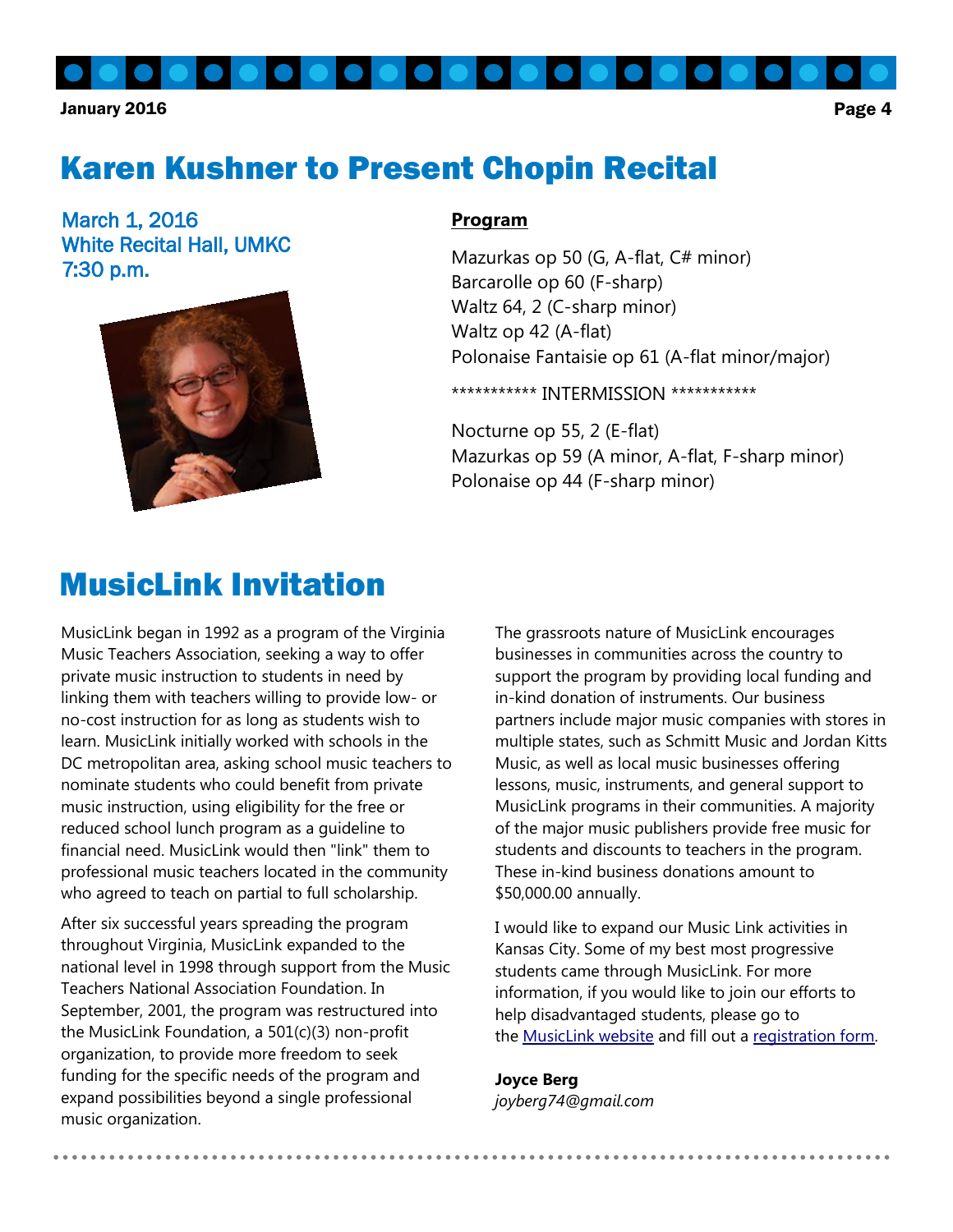### Karen Kushner to Present Chopin Recital

March 1, 2016 White Recital Hall, UMKC 7:30 p.m.



#### **Program**

Mazurkas op 50 (G, A-flat, C# minor) Barcarolle op 60 (F-sharp) Waltz 64, 2 (C-sharp minor) Waltz op 42 (A-flat) Polonaise Fantaisie op 61 (A-flat minor/major)

\*\*\*\*\*\*\*\*\*\*\* INTERMISSION \*\*\*\*\*\*\*\*\*\*\*

Nocturne op 55, 2 (E-flat) Mazurkas op 59 (A minor, A-flat, F-sharp minor) Polonaise op 44 (F-sharp minor)

### MusicLink Invitation

MusicLink began in 1992 as a program of the Virginia Music Teachers Association, seeking a way to offer private music instruction to students in need by linking them with teachers willing to provide low- or no-cost instruction for as long as students wish to learn. MusicLink initially worked with schools in the DC metropolitan area, asking school music teachers to nominate students who could benefit from private music instruction, using eligibility for the free or reduced school lunch program as a guideline to financial need. MusicLink would then "link" them to professional music teachers located in the community who agreed to teach on partial to full scholarship.

After six successful years spreading the program throughout Virginia, MusicLink expanded to the national level in 1998 through support from the Music Teachers National Association Foundation. In September, 2001, the program was restructured into the MusicLink Foundation, a 501(c)(3) non-profit organization, to provide more freedom to seek funding for the specific needs of the program and expand possibilities beyond a single professional music organization.

The grassroots nature of MusicLink encourages businesses in communities across the country to support the program by providing local funding and in-kind donation of instruments. Our business partners include major music companies with stores in multiple states, such as Schmitt Music and Jordan Kitts Music, as well as local music businesses offering lessons, music, instruments, and general support to MusicLink programs in their communities. A majority of the major music publishers provide free music for students and discounts to teachers in the program. These in-kind business donations amount to \$50,000.00 annually.

I would like to expand our Music Link activities in Kansas City. Some of my best most progressive students came through MusicLink. For more information, if you would like to join our efforts to help disadvantaged students, please go to the [MusicLink website](http://musiclinkfoundation.org/tchrinfo.php4) and fill out a [registration form.](http://musiclinkfoundation.org/partcpat.php4#regform)

#### **Joyce Berg**

*joyberg74@gmail.com*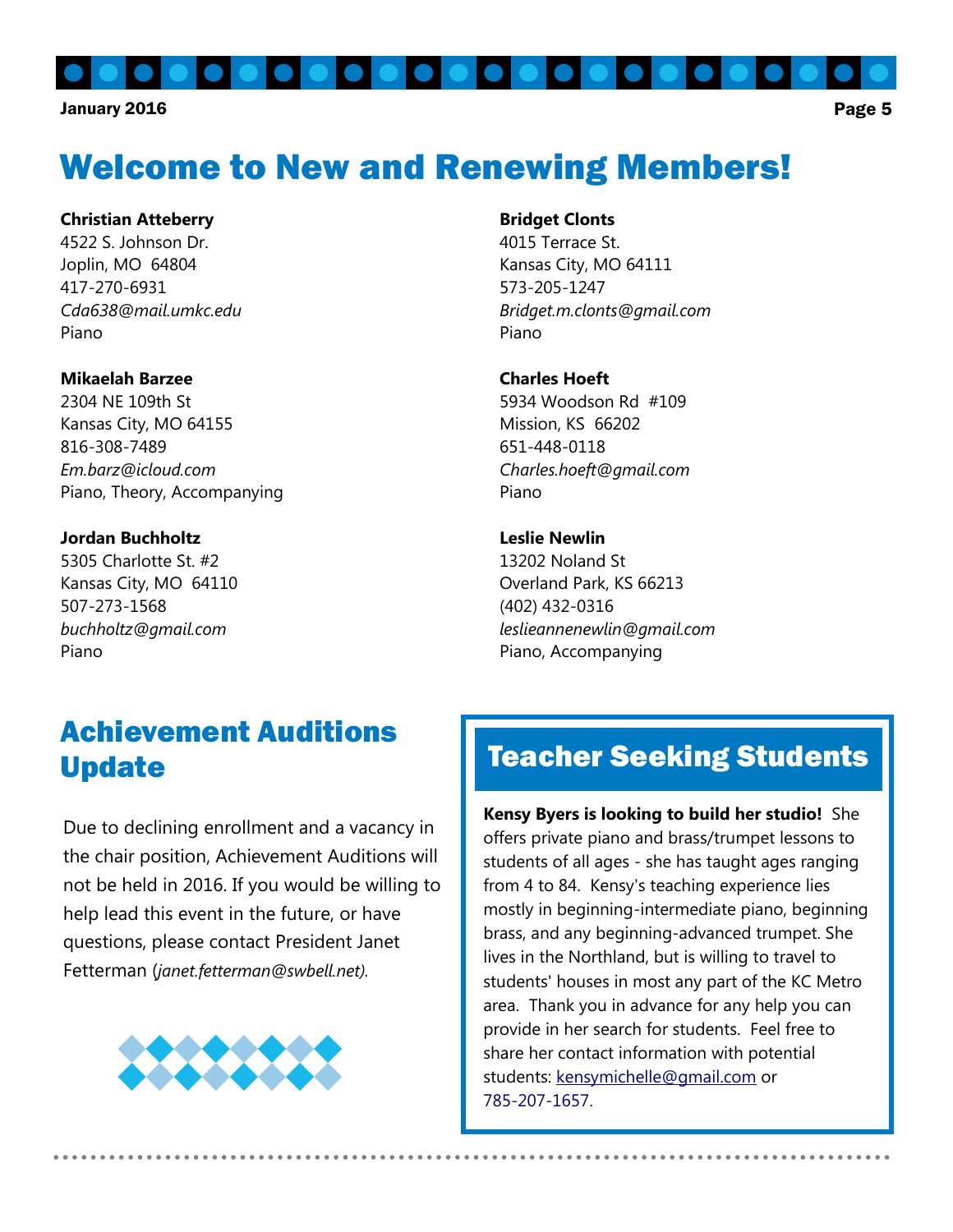# Welcome to New and Renewing Members!

#### **Christian Atteberry**

4522 S. Johnson Dr. Joplin, MO 64804 417-270-6931 *Cda638@mail.umkc.edu* Piano

#### **Mikaelah Barzee**

2304 NE 109th St Kansas City, MO 64155 816-308-7489 *Em.barz@icloud.com* Piano, Theory, Accompanying

#### **Jordan Buchholtz**

5305 Charlotte St. #2 Kansas City, MO 64110 507-273-1568 *buchholtz@gmail.com* Piano

#### **Bridget Clonts**

4015 Terrace St. Kansas City, MO 64111 573-205-1247 *Bridget.m.clonts@gmail.com* Piano

#### **Charles Hoeft**

5934 Woodson Rd #109 Mission, KS 66202 651-448-0118 *Charles.hoeft@gmail.com* Piano

#### **Leslie Newlin**

13202 Noland St Overland Park, KS 66213 (402) 432-0316 *leslieannenewlin@gmail.com* Piano, Accompanying

### Achievement Auditions Update

Due to declining enrollment and a vacancy in the chair position, Achievement Auditions will not be held in 2016. If you would be willing to help lead this event in the future, or have questions, please contact President Janet Fetterman (*janet.fetterman@swbell.net).* 



### Teacher Seeking Students

**Kensy Byers is looking to build her studio!** She offers private piano and brass/trumpet lessons to students of all ages - she has taught ages ranging from 4 to 84. Kensy's teaching experience lies mostly in beginning-intermediate piano, beginning brass, and any beginning-advanced trumpet. She lives in the Northland, but is willing to travel to students' houses in most any part of the KC Metro area. Thank you in advance for any help you can provide in her search for students. Feel free to share her contact information with potential students: [kensymichelle@gmail.com](mailto:kensymichelle@gmail.com) or [785-207-1657.](tel:785-207-1657)

..........................